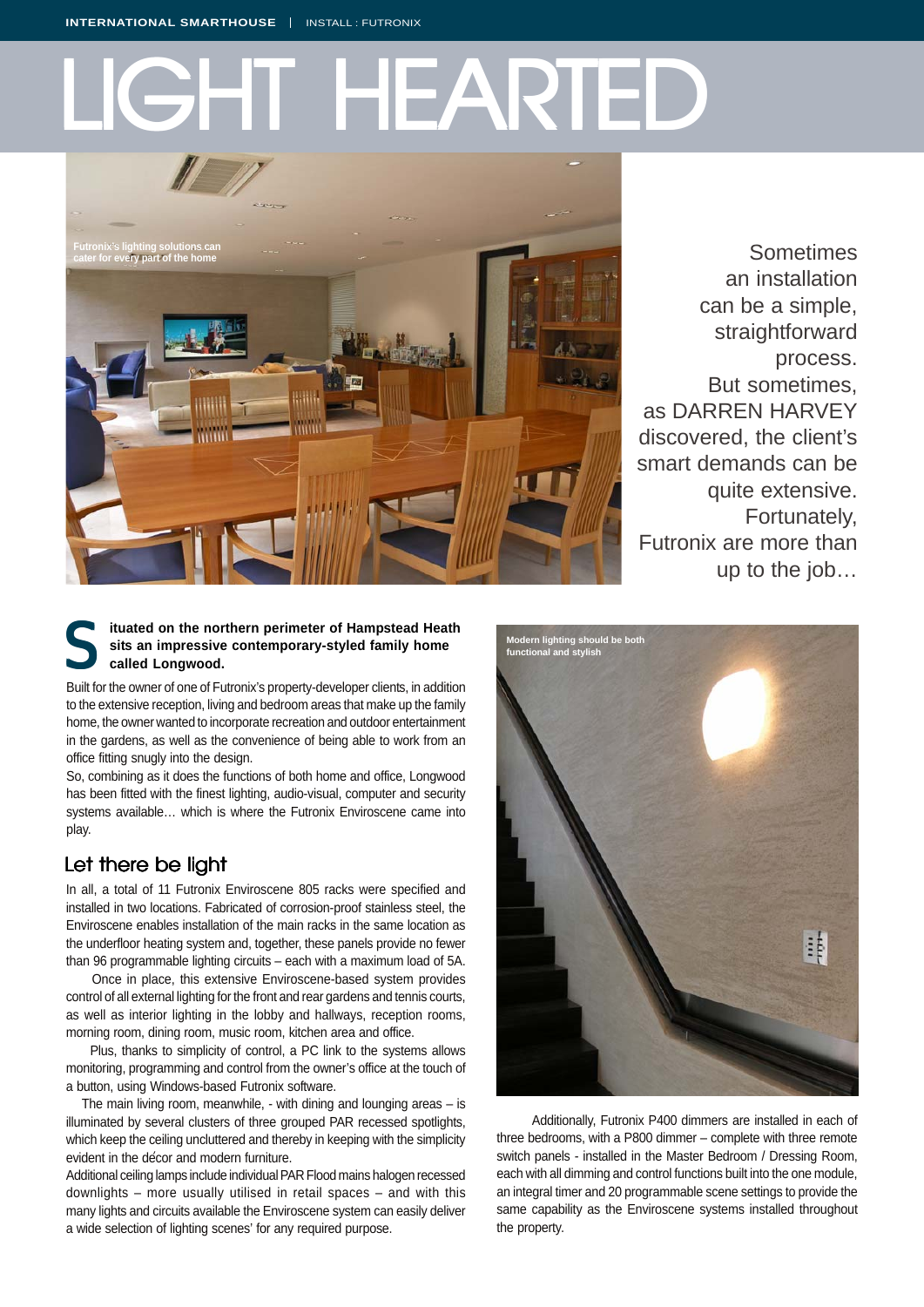# **GHTHEAR**



Sometimes an installation can be a simple, straightforward process. But sometimes, as DARREN HARVEY discovered, the client's smart demands can be quite extensive. Fortunately, Futronix are more than up to the job…

### **ituated on the northern perimeter of Hampstead Heath sits an impressive contemporary-styled family home called Longwood.** S

Built for the owner of one of Futronix's property-developer clients, in addition to the extensive reception, living and bedroom areas that make up the family home, the owner wanted to incorporate recreation and outdoor entertainment in the gardens, as well as the convenience of being able to work from an office fitting snugly into the design.

So, combining as it does the functions of both home and office, Longwood has been fitted with the finest lighting, audio-visual, computer and security systems available… which is where the Futronix Enviroscene came into play.

# Let there be light

In all, a total of 11 Futronix Enviroscene 805 racks were specified and installed in two locations. Fabricated of corrosion-proof stainless steel, the Enviroscene enables installation of the main racks in the same location as the underfloor heating system and, together, these panels provide no fewer than 96 programmable lighting circuits – each with a maximum load of 5A.

 Once in place, this extensive Enviroscene-based system provides control of all external lighting for the front and rear gardens and tennis courts, as well as interior lighting in the lobby and hallways, reception rooms, morning room, dining room, music room, kitchen area and office.

 Plus, thanks to simplicity of control, a PC link to the systems allows monitoring, programming and control from the owner's office at the touch of a button, using Windows-based Futronix software.

 The main living room, meanwhile, - with dining and lounging areas – is illuminated by several clusters of three grouped PAR recessed spotlights, which keep the ceiling uncluttered and thereby in keeping with the simplicity evident in the decor and modern furniture.

Additional ceiling lamps include individual PAR Flood mains halogen recessed downlights – more usually utilised in retail spaces – and with this many lights and circuits available the Enviroscene system can easily deliver a wide selection of lighting scenes' for any required purpose.



 Additionally, Futronix P400 dimmers are installed in each of three bedrooms, with a P800 dimmer – complete with three remote switch panels - installed in the Master Bedroom / Dressing Room, each with all dimming and control functions built into the one module, an integral timer and 20 programmable scene settings to provide the same capability as the Enviroscene systems installed throughout the property.